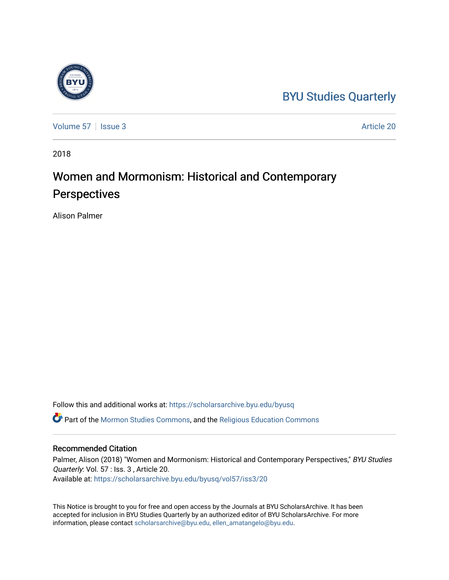## [BYU Studies Quarterly](https://scholarsarchive.byu.edu/byusq)

[Volume 57](https://scholarsarchive.byu.edu/byusq/vol57) | [Issue 3](https://scholarsarchive.byu.edu/byusq/vol57/iss3) Article 20

2018

## Women and Mormonism: Historical and Contemporary **Perspectives**

Alison Palmer

Follow this and additional works at: [https://scholarsarchive.byu.edu/byusq](https://scholarsarchive.byu.edu/byusq?utm_source=scholarsarchive.byu.edu%2Fbyusq%2Fvol57%2Fiss3%2F20&utm_medium=PDF&utm_campaign=PDFCoverPages) 

Part of the [Mormon Studies Commons](http://network.bepress.com/hgg/discipline/1360?utm_source=scholarsarchive.byu.edu%2Fbyusq%2Fvol57%2Fiss3%2F20&utm_medium=PDF&utm_campaign=PDFCoverPages), and the [Religious Education Commons](http://network.bepress.com/hgg/discipline/1414?utm_source=scholarsarchive.byu.edu%2Fbyusq%2Fvol57%2Fiss3%2F20&utm_medium=PDF&utm_campaign=PDFCoverPages) 

## Recommended Citation

Palmer, Alison (2018) "Women and Mormonism: Historical and Contemporary Perspectives," BYU Studies Quarterly: Vol. 57 : Iss. 3 , Article 20. Available at: [https://scholarsarchive.byu.edu/byusq/vol57/iss3/20](https://scholarsarchive.byu.edu/byusq/vol57/iss3/20?utm_source=scholarsarchive.byu.edu%2Fbyusq%2Fvol57%2Fiss3%2F20&utm_medium=PDF&utm_campaign=PDFCoverPages) 

This Notice is brought to you for free and open access by the Journals at BYU ScholarsArchive. It has been accepted for inclusion in BYU Studies Quarterly by an authorized editor of BYU ScholarsArchive. For more information, please contact [scholarsarchive@byu.edu, ellen\\_amatangelo@byu.edu.](mailto:scholarsarchive@byu.edu,%20ellen_amatangelo@byu.edu)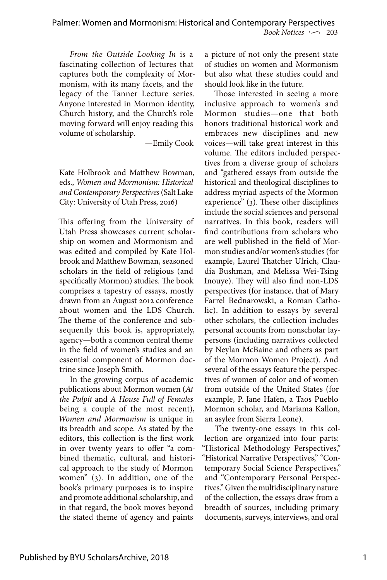*From the Outside Looking In* is a fascinating collection of lectures that captures both the complexity of Mormonism, with its many facets, and the legacy of the Tanner Lecture series. Anyone interested in Mormon identity, Church history, and the Church's role moving forward will enjoy reading this volume of scholarship.

—Emily Cook

Kate Holbrook and Matthew Bowman, eds., *Women and Mormonism: Historical and Contemporary Perspectives* (Salt Lake City: University of Utah Press, 2016)

This offering from the University of Utah Press showcases current scholarship on women and Mormonism and was edited and compiled by Kate Holbrook and Matthew Bowman, seasoned scholars in the field of religious (and specifically Mormon) studies. The book comprises a tapestry of essays, mostly drawn from an August 2012 conference about women and the LDS Church. The theme of the conference and subsequently this book is, appropriately, agency—both a common central theme in the field of women's studies and an essential component of Mormon doctrine since Joseph Smith.

In the growing corpus of academic publications about Mormon women (*At the Pulpit* and *A House Full of Females* being a couple of the most recent), *Women and Mormonism* is unique in its breadth and scope. As stated by the editors, this collection is the first work in over twenty years to offer "a combined thematic, cultural, and historical approach to the study of Mormon women" (3). In addition, one of the book's primary purposes is to inspire and promote additional scholarship, and in that regard, the book moves beyond the stated theme of agency and paints

a picture of not only the present state of studies on women and Mormonism but also what these studies could and should look like in the future.

Those interested in seeing a more inclusive approach to women's and Mormon studies—one that both honors traditional historical work and embraces new disciplines and new voices—will take great interest in this volume. The editors included perspectives from a diverse group of scholars and "gathered essays from outside the historical and theological disciplines to address myriad aspects of the Mormon experience" (3). These other disciplines include the social sciences and personal narratives. In this book, readers will find contributions from scholars who are well published in the field of Mormon studies and/or women's studies (for example, Laurel Thatcher Ulrich, Claudia Bushman, and Melissa Wei-Tsing Inouye). They will also find non-LDS perspectives (for instance, that of Mary Farrel Bednarowski, a Roman Catholic). In addition to essays by several other scholars, the collection includes personal accounts from nonscholar laypersons (including narratives collected by Neylan McBaine and others as part of the Mormon Women Project). And several of the essays feature the perspectives of women of color and of women from outside of the United States (for example, P. Jane Hafen, a Taos Pueblo Mormon scholar, and Mariama Kallon, an asylee from Sierra Leone).

The twenty-one essays in this collection are organized into four parts: "Historical Methodology Perspectives," "Historical Narrative Perspectives," "Contemporary Social Science Perspectives," and "Contemporary Personal Perspectives." Given the multidisciplinary nature of the collection, the essays draw from a breadth of sources, including primary documents, surveys, interviews, and oral